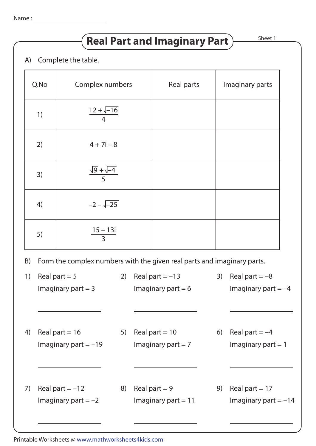# **Real Part and Imaginary Part**  $\overline{\phantom{a}}$ <sup>Sheet 1</sup>

## A) Complete the table.

| Q.No | Complex numbers                  | Real parts | Imaginary parts |
|------|----------------------------------|------------|-----------------|
| 1)   | $\frac{12 + \sqrt{-16}}{4}$      |            |                 |
| 2)   | $4 + 7i - 8$                     |            |                 |
| 3)   | $\frac{\sqrt{9} + \sqrt{-4}}{5}$ |            |                 |
| 4)   | $-2 - \sqrt{-25}$                |            |                 |
| 5)   | $15 - 13i$<br>$\overline{3}$     |            |                 |

## B) Form the complex numbers with the given real parts and imaginary parts.

| 1) | Real part $= 5$       | 2) | Real part $=-13$      | 3) | Real part $=-8$       |
|----|-----------------------|----|-----------------------|----|-----------------------|
|    | Imaginary part $=$ 3  |    | Imaginary part $= 6$  |    | Imaginary part $=-4$  |
|    |                       |    |                       |    |                       |
|    |                       |    |                       |    |                       |
|    |                       |    |                       |    |                       |
| 4) | Real part = $16$      | 5) | Real part = $10$      | 6) | Real part $=-4$       |
|    | Imaginary part $=-19$ |    | Imaginary part $= 7$  |    | Imaginary part $= 1$  |
|    |                       |    |                       |    |                       |
|    |                       |    |                       |    |                       |
|    |                       |    |                       |    |                       |
| 7) | Real part $= -12$     | 8) | Real part $= 9$       | 9) | Real part = $17$      |
|    | Imaginary part $=-2$  |    | Imaginary part $= 11$ |    | Imaginary part $=-14$ |
|    |                       |    |                       |    |                       |
|    |                       |    |                       |    |                       |

Printable Worksheets @ www.mathworksheets4kids.com